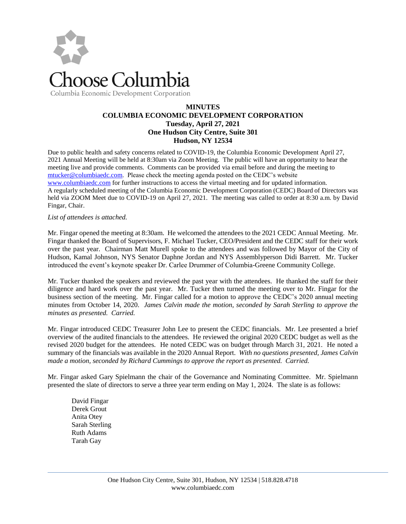

## **MINUTES COLUMBIA ECONOMIC DEVELOPMENT CORPORATION Tuesday, April 27, 2021 One Hudson City Centre, Suite 301 Hudson, NY 12534**

Due to public health and safety concerns related to COVID-19, the Columbia Economic Development April 27, 2021 Annual Meeting will be held at 8:30am via Zoom Meeting. The public will have an opportunity to hear the meeting live and provide comments. Comments can be provided via email before and during the meeting to [mtucker@columbiaedc.com.](mailto:mtucker@columbiaedc.com) Please check the meeting agenda posted on the CEDC's website [www.columbiaedc.com](http://www.columbiaedc.com/) for further instructions to access the virtual meeting and for updated information. A regularly scheduled meeting of the Columbia Economic Development Corporation (CEDC) Board of Directors was held via ZOOM Meet due to COVID-19 on April 27, 2021. The meeting was called to order at 8:30 a.m. by David Fingar, Chair.

## *List of attendees is attached.*

Mr. Fingar opened the meeting at 8:30am. He welcomed the attendees to the 2021 CEDC Annual Meeting. Mr. Fingar thanked the Board of Supervisors, F. Michael Tucker, CEO/President and the CEDC staff for their work over the past year. Chairman Matt Murell spoke to the attendees and was followed by Mayor of the City of Hudson, Kamal Johnson, NYS Senator Daphne Jordan and NYS Assemblyperson Didi Barrett. Mr. Tucker introduced the event's keynote speaker Dr. Carlee Drummer of Columbia-Greene Community College.

Mr. Tucker thanked the speakers and reviewed the past year with the attendees. He thanked the staff for their diligence and hard work over the past year. Mr. Tucker then turned the meeting over to Mr. Fingar for the business section of the meeting. Mr. Fingar called for a motion to approve the CEDC's 2020 annual meeting minutes from October 14, 2020. *James Calvin made the motion, seconded by Sarah Sterling to approve the minutes as presented. Carried.*

Mr. Fingar introduced CEDC Treasurer John Lee to present the CEDC financials. Mr. Lee presented a brief overview of the audited financials to the attendees. He reviewed the original 2020 CEDC budget as well as the revised 2020 budget for the attendees. He noted CEDC was on budget through March 31, 2021. He noted a summary of the financials was available in the 2020 Annual Report. *With no questions presented, James Calvin made a motion, seconded by Richard Cummings to approve the report as presented. Carried.*

Mr. Fingar asked Gary Spielmann the chair of the Governance and Nominating Committee. Mr. Spielmann presented the slate of directors to serve a three year term ending on May 1, 2024. The slate is as follows:

David Fingar Derek Grout Anita Otey Sarah Sterling Ruth Adams Tarah Gay